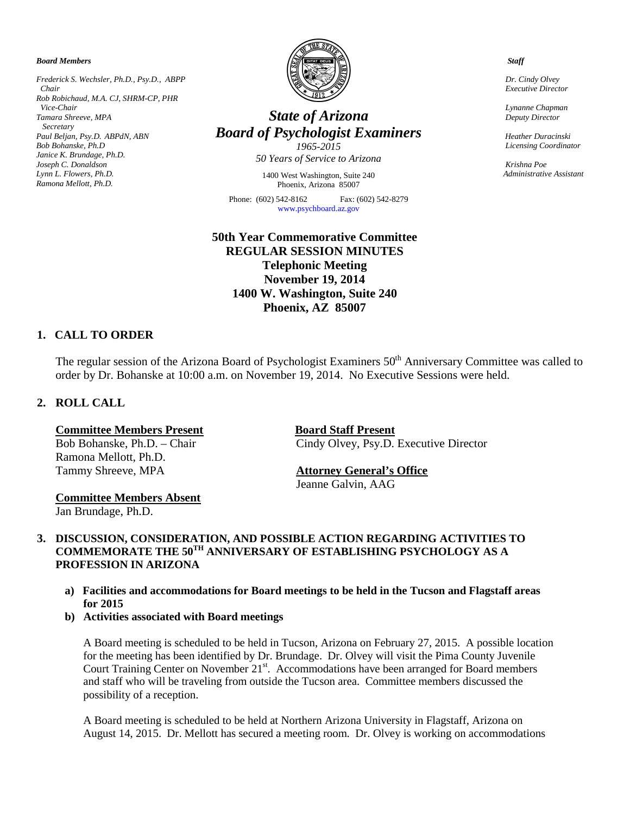*Board Members*

*Frederick S. Wechsler, Ph.D., Psy.D., ABPP Chair Rob Robichaud, M.A. CJ, SHRM-CP, PHR Vice-Chair Tamara Shreeve, MPA Secretary Paul Beljan, Psy.D. ABPdN, ABN Bob Bohanske, Ph.D Janice K. Brundage, Ph.D. Joseph C. Donaldson Lynn L. Flowers, Ph.D. Ramona Mellott, Ph.D.*



# *State of Arizona Board of Psychologist Examiners*

*1965-2015 50 Years of Service to Arizona*

1400 West Washington, Suite 240 Phoenix, Arizona 85007

Phone: (602) 542-8162 Fax: (602) 542-8279 [www.psychboard.az.gov](http://www.psychboard.az.gov/) 

**50th Year Commemorative Committee REGULAR SESSION MINUTES Telephonic Meeting November 19, 2014 1400 W. Washington, Suite 240 Phoenix, AZ 85007**

# **1. CALL TO ORDER**

The regular session of the Arizona Board of Psychologist Examiners 50<sup>th</sup> Anniversary Committee was called to order by Dr. Bohanske at 10:00 a.m. on November 19, 2014. No Executive Sessions were held.

# **2. ROLL CALL**

Ramona Mellott, Ph.D. Tammy Shreeve, MPA **Attorney General's Office**

**Committee Members Present<br>
Board Staff Present**<br>
Board Staff Present<br>
Cindy Olvey, Psy.D. Cindy Olvey, Psy.D. Executive Director

Jeanne Galvin, AAG

**Committee Members Absent** Jan Brundage, Ph.D.

**3. DISCUSSION, CONSIDERATION, AND POSSIBLE ACTION REGARDING ACTIVITIES TO COMMEMORATE THE 50TH ANNIVERSARY OF ESTABLISHING PSYCHOLOGY AS A PROFESSION IN ARIZONA**

- **a) Facilities and accommodations for Board meetings to be held in the Tucson and Flagstaff areas for 2015**
- **b) Activities associated with Board meetings**

A Board meeting is scheduled to be held in Tucson, Arizona on February 27, 2015. A possible location for the meeting has been identified by Dr. Brundage. Dr. Olvey will visit the Pima County Juvenile Court Training Center on November 21<sup>st</sup>. Accommodations have been arranged for Board members and staff who will be traveling from outside the Tucson area. Committee members discussed the possibility of a reception.

A Board meeting is scheduled to be held at Northern Arizona University in Flagstaff, Arizona on August 14, 2015. Dr. Mellott has secured a meeting room. Dr. Olvey is working on accommodations

 *Staff*

 *Dr. Cindy Olvey Executive Director*

 *Lynanne Chapman Deputy Director*

 *Heather Duracinski Licensing Coordinator* 

 *Krishna Poe Administrative Assistant*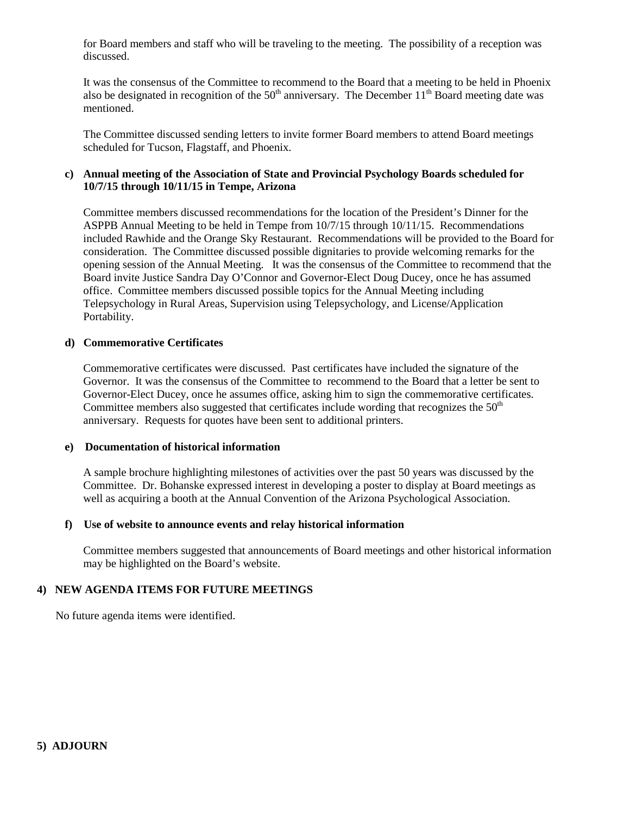for Board members and staff who will be traveling to the meeting. The possibility of a reception was discussed.

It was the consensus of the Committee to recommend to the Board that a meeting to be held in Phoenix also be designated in recognition of the  $50<sup>th</sup>$  anniversary. The December  $11<sup>th</sup>$  Board meeting date was mentioned.

The Committee discussed sending letters to invite former Board members to attend Board meetings scheduled for Tucson, Flagstaff, and Phoenix.

# **c) Annual meeting of the Association of State and Provincial Psychology Boards scheduled for 10/7/15 through 10/11/15 in Tempe, Arizona**

Committee members discussed recommendations for the location of the President's Dinner for the ASPPB Annual Meeting to be held in Tempe from 10/7/15 through 10/11/15. Recommendations included Rawhide and the Orange Sky Restaurant. Recommendations will be provided to the Board for consideration. The Committee discussed possible dignitaries to provide welcoming remarks for the opening session of the Annual Meeting. It was the consensus of the Committee to recommend that the Board invite Justice Sandra Day O'Connor and Governor-Elect Doug Ducey, once he has assumed office. Committee members discussed possible topics for the Annual Meeting including Telepsychology in Rural Areas, Supervision using Telepsychology, and License/Application Portability.

#### **d) Commemorative Certificates**

Commemorative certificates were discussed. Past certificates have included the signature of the Governor. It was the consensus of the Committee to recommend to the Board that a letter be sent to Governor-Elect Ducey, once he assumes office, asking him to sign the commemorative certificates. Committee members also suggested that certificates include wording that recognizes the  $50<sup>th</sup>$ anniversary. Requests for quotes have been sent to additional printers.

#### **e) Documentation of historical information**

A sample brochure highlighting milestones of activities over the past 50 years was discussed by the Committee. Dr. Bohanske expressed interest in developing a poster to display at Board meetings as well as acquiring a booth at the Annual Convention of the Arizona Psychological Association.

#### **f) Use of website to announce events and relay historical information**

Committee members suggested that announcements of Board meetings and other historical information may be highlighted on the Board's website.

## **4) NEW AGENDA ITEMS FOR FUTURE MEETINGS**

No future agenda items were identified.